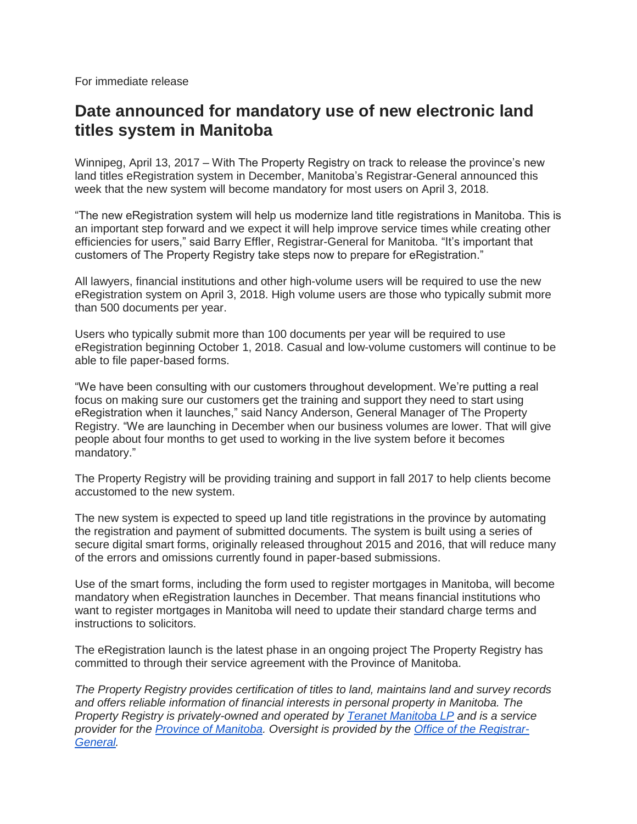For immediate release

### **Date announced for mandatory use of new electronic land titles system in Manitoba**

Winnipeg, April 13, 2017 – With The Property Registry on track to release the province's new land titles eRegistration system in December, Manitoba's Registrar-General announced this week that the new system will become mandatory for most users on April 3, 2018.

"The new eRegistration system will help us modernize land title registrations in Manitoba. This is an important step forward and we expect it will help improve service times while creating other efficiencies for users," said Barry Effler, Registrar-General for Manitoba. "It's important that customers of The Property Registry take steps now to prepare for eRegistration."

All lawyers, financial institutions and other high-volume users will be required to use the new eRegistration system on April 3, 2018. High volume users are those who typically submit more than 500 documents per year.

Users who typically submit more than 100 documents per year will be required to use eRegistration beginning October 1, 2018. Casual and low-volume customers will continue to be able to file paper-based forms.

"We have been consulting with our customers throughout development. We're putting a real focus on making sure our customers get the training and support they need to start using eRegistration when it launches," said Nancy Anderson, General Manager of The Property Registry. "We are launching in December when our business volumes are lower. That will give people about four months to get used to working in the live system before it becomes mandatory."

The Property Registry will be providing training and support in fall 2017 to help clients become accustomed to the new system.

The new system is expected to speed up land title registrations in the province by automating the registration and payment of submitted documents. The system is built using a series of secure digital smart forms, originally released throughout 2015 and 2016, that will reduce many of the errors and omissions currently found in paper-based submissions.

Use of the smart forms, including the form used to register mortgages in Manitoba, will become mandatory when eRegistration launches in December. That means financial institutions who want to register mortgages in Manitoba will need to update their standard charge terms and instructions to solicitors.

The eRegistration launch is the latest phase in an ongoing project The Property Registry has committed to through their service agreement with the Province of Manitoba.

*The Property Registry provides certification of titles to land, maintains land and survey records and offers reliable information of financial interests in personal property in Manitoba. The Property Registry is privately-owned and operated by [Teranet](http://www.teranet.ca/article/property-registry-manitoba-now-owned-teranet-manitoba) Manitoba LP and is a service provider for the [Province of Manitoba.](http://www.manitoba.ca/index.html) Oversight is provided by the [Office of the Registrar-](http://www.gov.mb.ca/registrar-general/)[General.](http://www.gov.mb.ca/registrar-general/)*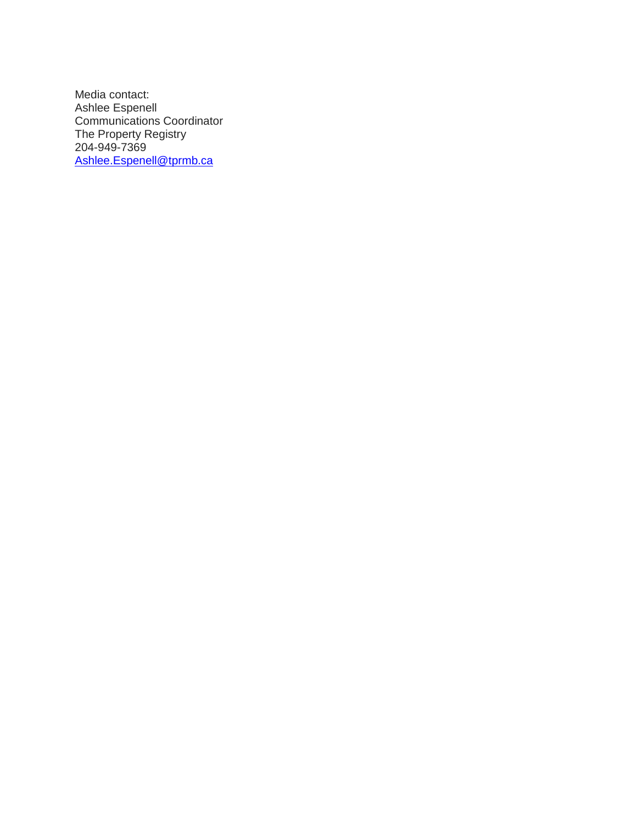Media contact: Ashlee Espenell Communications Coordinator The Property Registry 204-949-7369 [Ashlee.Espenell@tprmb.ca](mailto:Ashlee.Espenell@tprmb.ca)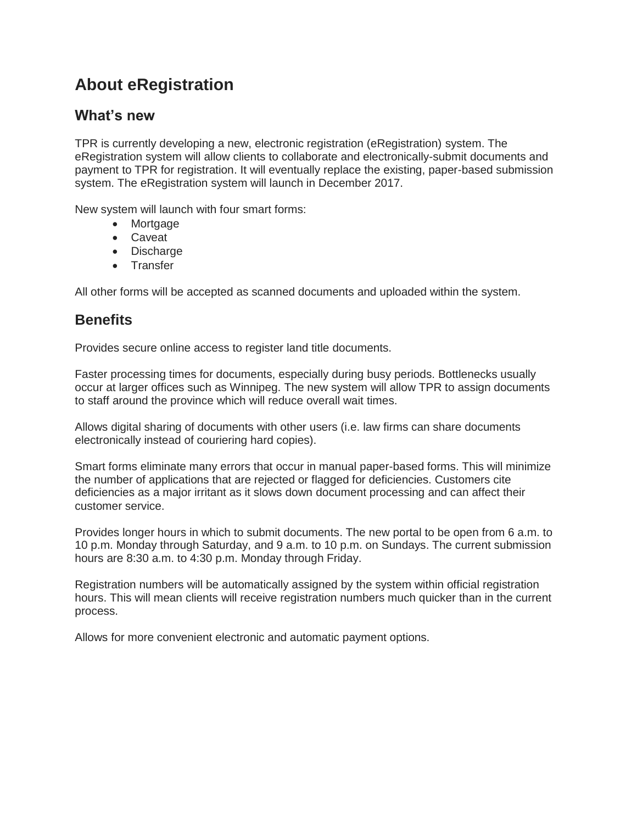# **About eRegistration**

#### **What's new**

TPR is currently developing a new, electronic registration (eRegistration) system. The eRegistration system will allow clients to collaborate and electronically-submit documents and payment to TPR for registration. It will eventually replace the existing, paper-based submission system. The eRegistration system will launch in December 2017.

New system will launch with four smart forms:

- Mortgage
- Caveat
- Discharge
- Transfer

All other forms will be accepted as scanned documents and uploaded within the system.

#### **Benefits**

Provides secure online access to register land title documents.

Faster processing times for documents, especially during busy periods. Bottlenecks usually occur at larger offices such as Winnipeg. The new system will allow TPR to assign documents to staff around the province which will reduce overall wait times.

Allows digital sharing of documents with other users (i.e. law firms can share documents electronically instead of couriering hard copies).

Smart forms eliminate many errors that occur in manual paper-based forms. This will minimize the number of applications that are rejected or flagged for deficiencies. Customers cite deficiencies as a major irritant as it slows down document processing and can affect their customer service.

Provides longer hours in which to submit documents. The new portal to be open from 6 a.m. to 10 p.m. Monday through Saturday, and 9 a.m. to 10 p.m. on Sundays. The current submission hours are 8:30 a.m. to 4:30 p.m. Monday through Friday.

Registration numbers will be automatically assigned by the system within official registration hours. This will mean clients will receive registration numbers much quicker than in the current process.

Allows for more convenient electronic and automatic payment options.